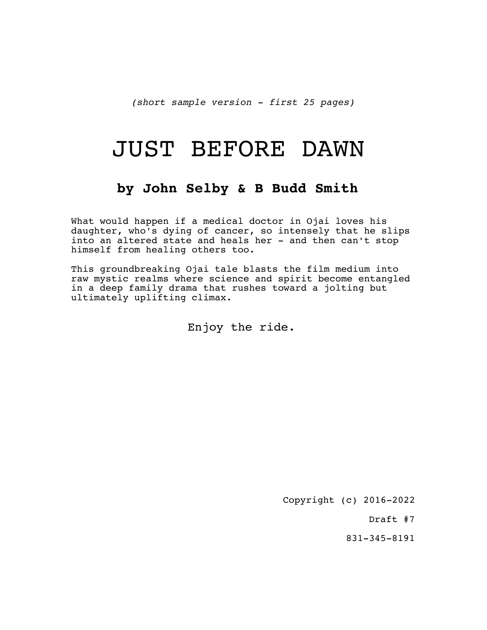*(short sample version - first 25 pages)*

# JUST BEFORE DAWN

# **by John Selby & B Budd Smith**

What would happen if a medical doctor in Ojai loves his daughter, who's dying of cancer, so intensely that he slips into an altered state and heals her - and then can't stop himself from healing others too.

This groundbreaking Ojai tale blasts the film medium into raw mystic realms where science and spirit become entangled in a deep family drama that rushes toward a jolting but ultimately uplifting climax.

Enjoy the ride.

Copyright (c) 2016-2022

Draft #7

831-345-8191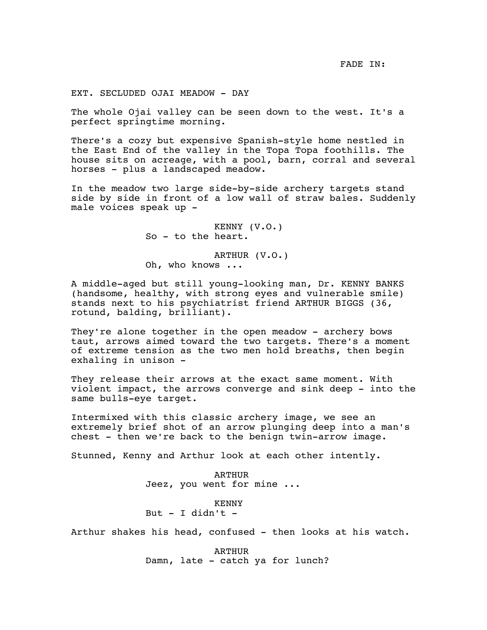EXT. SECLUDED OJAI MEADOW - DAY

The whole Ojai valley can be seen down to the west. It's a perfect springtime morning.

There's a cozy but expensive Spanish-style home nestled in the East End of the valley in the Topa Topa foothills. The house sits on acreage, with a pool, barn, corral and several horses - plus a landscaped meadow.

In the meadow two large side-by-side archery targets stand side by side in front of a low wall of straw bales. Suddenly male voices speak up -

> KENNY (V.O.) So - to the heart.

ARTHUR (V.O.) Oh, who knows ...

A middle-aged but still young-looking man, Dr. KENNY BANKS (handsome, healthy, with strong eyes and vulnerable smile) stands next to his psychiatrist friend ARTHUR BIGGS (36, rotund, balding, brilliant).

They're alone together in the open meadow - archery bows taut, arrows aimed toward the two targets. There's a moment of extreme tension as the two men hold breaths, then begin exhaling in unison -

They release their arrows at the exact same moment. With violent impact, the arrows converge and sink deep - into the same bulls-eye target.

Intermixed with this classic archery image, we see an extremely brief shot of an arrow plunging deep into a man's chest - then we're back to the benign twin-arrow image.

Stunned, Kenny and Arthur look at each other intently.

ARTHUR Jeez, you went for mine ...

KENNY But  $-$  I didn't  $-$ 

Arthur shakes his head, confused - then looks at his watch.

ARTHUR Damn, late - catch ya for lunch?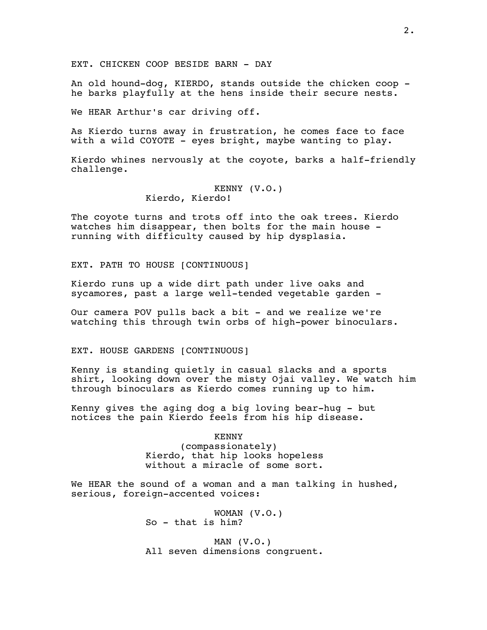EXT. CHICKEN COOP BESIDE BARN - DAY

An old hound-dog, KIERDO, stands outside the chicken coop he barks playfully at the hens inside their secure nests.

We HEAR Arthur's car driving off.

As Kierdo turns away in frustration, he comes face to face with a wild COYOTE - eyes bright, maybe wanting to play.

Kierdo whines nervously at the coyote, barks a half-friendly challenge.

# KENNY (V.O.) Kierdo, Kierdo!

The coyote turns and trots off into the oak trees. Kierdo watches him disappear, then bolts for the main house running with difficulty caused by hip dysplasia.

EXT. PATH TO HOUSE [CONTINUOUS]

Kierdo runs up a wide dirt path under live oaks and sycamores, past a large well-tended vegetable garden -

Our camera POV pulls back a bit - and we realize we're watching this through twin orbs of high-power binoculars.

EXT. HOUSE GARDENS [CONTINUOUS]

Kenny is standing quietly in casual slacks and a sports shirt, looking down over the misty Ojai valley. We watch him through binoculars as Kierdo comes running up to him.

Kenny gives the aging dog a big loving bear-hug - but notices the pain Kierdo feels from his hip disease.

> KENNY (compassionately) Kierdo, that hip looks hopeless without a miracle of some sort.

We HEAR the sound of a woman and a man talking in hushed, serious, foreign-accented voices:

> WOMAN (V.O.) So - that is him?

MAN  $(V.O.)$ All seven dimensions congruent.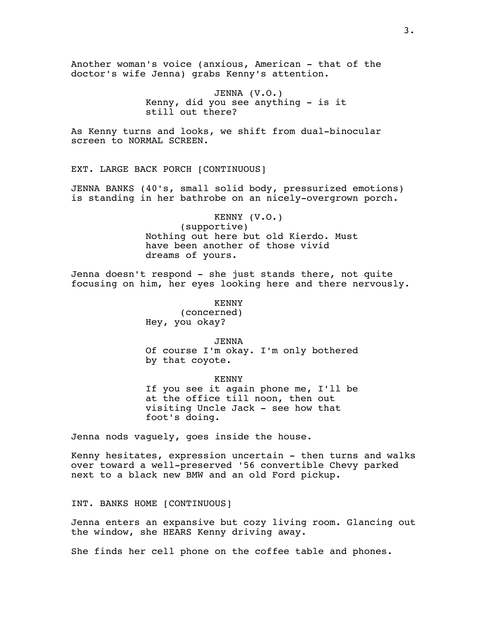Another woman's voice (anxious, American - that of the doctor's wife Jenna) grabs Kenny's attention.

> JENNA (V.O.) Kenny, did you see anything - is it still out there?

As Kenny turns and looks, we shift from dual-binocular screen to NORMAL SCREEN.

EXT. LARGE BACK PORCH [CONTINUOUS]

JENNA BANKS (40's, small solid body, pressurized emotions) is standing in her bathrobe on an nicely-overgrown porch.

> KENNY (V.O.) (supportive) Nothing out here but old Kierdo. Must have been another of those vivid dreams of yours.

Jenna doesn't respond - she just stands there, not quite focusing on him, her eyes looking here and there nervously.

> KENNY (concerned) Hey, you okay?

JENNA Of course I'm okay. I'm only bothered by that coyote.

KENNY If you see it again phone me, I'll be at the office till noon, then out visiting Uncle Jack - see how that foot's doing.

Jenna nods vaguely, goes inside the house.

Kenny hesitates, expression uncertain - then turns and walks over toward a well-preserved '56 convertible Chevy parked next to a black new BMW and an old Ford pickup.

INT. BANKS HOME [CONTINUOUS]

Jenna enters an expansive but cozy living room. Glancing out the window, she HEARS Kenny driving away.

She finds her cell phone on the coffee table and phones.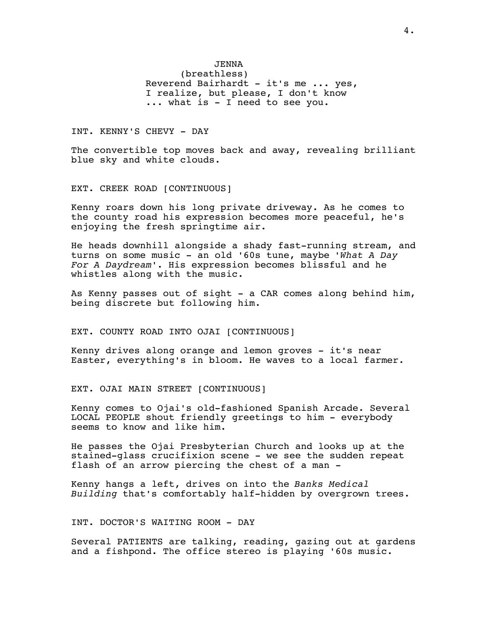# JENNA

(breathless) Reverend Bairhardt - it's me ... yes, I realize, but please, I don't know ... what is - I need to see you.

# INT. KENNY'S CHEVY - DAY

The convertible top moves back and away, revealing brilliant blue sky and white clouds.

# EXT. CREEK ROAD [CONTINUOUS]

Kenny roars down his long private driveway. As he comes to the county road his expression becomes more peaceful, he's enjoying the fresh springtime air.

He heads downhill alongside a shady fast-running stream, and turns on some music - an old '60s tune, maybe *'What A Day For A Daydream'*. His expression becomes blissful and he whistles along with the music.

As Kenny passes out of sight  $-$  a CAR comes along behind him, being discrete but following him.

#### EXT. COUNTY ROAD INTO OJAI [CONTINUOUS]

Kenny drives along orange and lemon groves - it's near Easter, everything's in bloom. He waves to a local farmer.

# EXT. OJAI MAIN STREET [CONTINUOUS]

Kenny comes to Ojai's old-fashioned Spanish Arcade. Several LOCAL PEOPLE shout friendly greetings to him - everybody seems to know and like him.

He passes the Ojai Presbyterian Church and looks up at the stained-glass crucifixion scene - we see the sudden repeat flash of an arrow piercing the chest of a man -

Kenny hangs a left, drives on into the *Banks Medical Building* that's comfortably half-hidden by overgrown trees.

INT. DOCTOR'S WAITING ROOM - DAY

Several PATIENTS are talking, reading, gazing out at gardens and a fishpond. The office stereo is playing '60s music.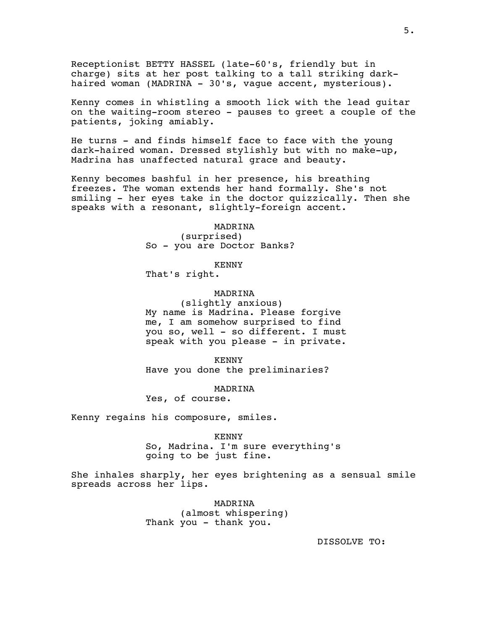Receptionist BETTY HASSEL (late-60's, friendly but in charge) sits at her post talking to a tall striking darkhaired woman (MADRINA - 30's, vague accent, mysterious).

Kenny comes in whistling a smooth lick with the lead guitar on the waiting-room stereo - pauses to greet a couple of the patients, joking amiably.

He turns - and finds himself face to face with the young dark-haired woman. Dressed stylishly but with no make-up, Madrina has unaffected natural grace and beauty.

Kenny becomes bashful in her presence, his breathing freezes. The woman extends her hand formally. She's not smiling - her eyes take in the doctor quizzically. Then she speaks with a resonant, slightly-foreign accent.

> MADRINA (surprised) So - you are Doctor Banks?

> > KENNY

That's right.

MADRINA

(slightly anxious) My name is Madrina. Please forgive me, I am somehow surprised to find you so, well - so different. I must speak with you please - in private.

KENNY Have you done the preliminaries?

MADRINA

Yes, of course.

Kenny regains his composure, smiles.

KENNY So, Madrina. I'm sure everything's going to be just fine.

She inhales sharply, her eyes brightening as a sensual smile spreads across her lips.

> MADRINA (almost whispering) Thank you - thank you.

> > DISSOLVE TO: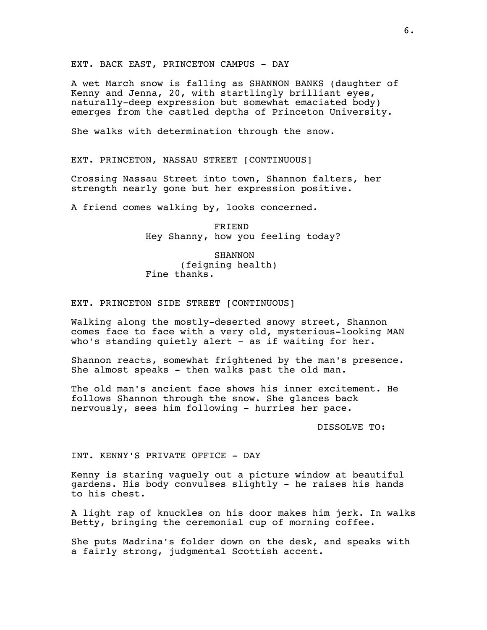EXT. BACK EAST, PRINCETON CAMPUS - DAY

A wet March snow is falling as SHANNON BANKS (daughter of Kenny and Jenna, 20, with startlingly brilliant eyes, naturally-deep expression but somewhat emaciated body) emerges from the castled depths of Princeton University.

She walks with determination through the snow.

EXT. PRINCETON, NASSAU STREET [CONTINUOUS]

Crossing Nassau Street into town, Shannon falters, her strength nearly gone but her expression positive.

A friend comes walking by, looks concerned.

FRIEND Hey Shanny, how you feeling today?

**SHANNON** (feigning health) Fine thanks.

#### EXT. PRINCETON SIDE STREET [CONTINUOUS]

Walking along the mostly-deserted snowy street, Shannon comes face to face with a very old, mysterious-looking MAN who's standing quietly alert - as if waiting for her.

Shannon reacts, somewhat frightened by the man's presence. She almost speaks - then walks past the old man.

The old man's ancient face shows his inner excitement. He follows Shannon through the snow. She glances back nervously, sees him following - hurries her pace.

DISSOLVE TO:

# INT. KENNY'S PRIVATE OFFICE - DAY

Kenny is staring vaguely out a picture window at beautiful gardens. His body convulses slightly - he raises his hands to his chest.

A light rap of knuckles on his door makes him jerk. In walks Betty, bringing the ceremonial cup of morning coffee.

She puts Madrina's folder down on the desk, and speaks with a fairly strong, judgmental Scottish accent.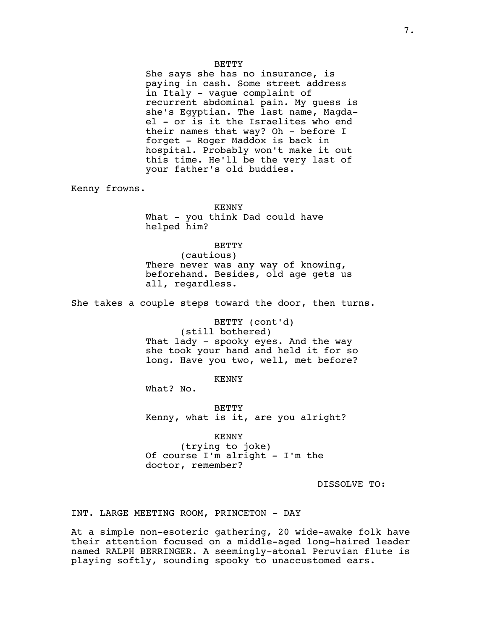#### BETTY

She says she has no insurance, is paying in cash. Some street address in Italy - vague complaint of recurrent abdominal pain. My guess is she's Egyptian. The last name, Magdael - or is it the Israelites who end their names that way? Oh - before I forget - Roger Maddox is back in hospital. Probably won't make it out this time. He'll be the very last of your father's old buddies.

Kenny frowns.

KENNY What - you think Dad could have helped him?

BETTY

(cautious) There never was any way of knowing, beforehand. Besides, old age gets us all, regardless.

She takes a couple steps toward the door, then turns.

BETTY (cont'd) (still bothered) That lady - spooky eyes. And the way she took your hand and held it for so long. Have you two, well, met before?

KENNY

What? No.

BETTY Kenny, what is it, are you alright?

KENNY (trying to joke) Of course I'm alright - I'm the doctor, remember?

DISSOLVE TO:

INT. LARGE MEETING ROOM, PRINCETON - DAY

At a simple non-esoteric gathering, 20 wide-awake folk have their attention focused on a middle-aged long-haired leader named RALPH BERRINGER. A seemingly-atonal Peruvian flute is playing softly, sounding spooky to unaccustomed ears.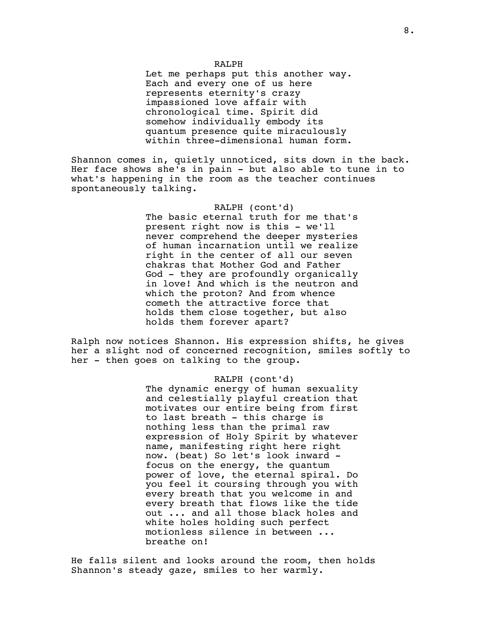#### RALPH

Let me perhaps put this another way. Each and every one of us here represents eternity's crazy impassioned love affair with chronological time. Spirit did somehow individually embody its quantum presence quite miraculously within three-dimensional human form.

Shannon comes in, quietly unnoticed, sits down in the back. Her face shows she's in pain - but also able to tune in to what's happening in the room as the teacher continues spontaneously talking.

# RALPH (cont'd)

The basic eternal truth for me that's present right now is this - we'll never comprehend the deeper mysteries of human incarnation until we realize right in the center of all our seven chakras that Mother God and Father God - they are profoundly organically in love! And which is the neutron and which the proton? And from whence cometh the attractive force that holds them close together, but also holds them forever apart?

Ralph now notices Shannon. His expression shifts, he gives her a slight nod of concerned recognition, smiles softly to her - then goes on talking to the group.

# RALPH (cont'd)

The dynamic energy of human sexuality and celestially playful creation that motivates our entire being from first to last breath - this charge is nothing less than the primal raw expression of Holy Spirit by whatever name, manifesting right here right now. (beat) So let's look inward focus on the energy, the quantum power of love, the eternal spiral. Do you feel it coursing through you with every breath that you welcome in and every breath that flows like the tide out ... and all those black holes and white holes holding such perfect motionless silence in between ... breathe on!

He falls silent and looks around the room, then holds Shannon's steady gaze, smiles to her warmly.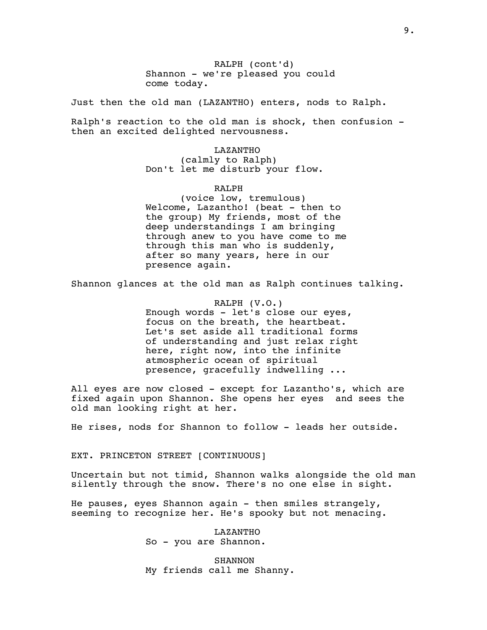RALPH (cont'd) Shannon - we're pleased you could come today.

Just then the old man (LAZANTHO) enters, nods to Ralph.

Ralph's reaction to the old man is shock, then confusion then an excited delighted nervousness.

> LAZANTHO (calmly to Ralph) Don't let me disturb your flow.

> > RALPH

(voice low, tremulous) Welcome, Lazantho! (beat - then to the group) My friends, most of the deep understandings I am bringing through anew to you have come to me through this man who is suddenly, after so many years, here in our presence again.

Shannon glances at the old man as Ralph continues talking.

RALPH (V.O.) Enough words - let's close our eyes, focus on the breath, the heartbeat. Let's set aside all traditional forms of understanding and just relax right here, right now, into the infinite atmospheric ocean of spiritual presence, gracefully indwelling ...

All eyes are now closed - except for Lazantho's, which are fixed again upon Shannon. She opens her eyes and sees the old man looking right at her.

He rises, nods for Shannon to follow - leads her outside.

EXT. PRINCETON STREET [CONTINUOUS]

Uncertain but not timid, Shannon walks alongside the old man silently through the snow. There's no one else in sight.

He pauses, eyes Shannon again  $-$  then smiles strangely, seeming to recognize her. He's spooky but not menacing.

> LAZANTHO So - you are Shannon.

SHANNON My friends call me Shanny.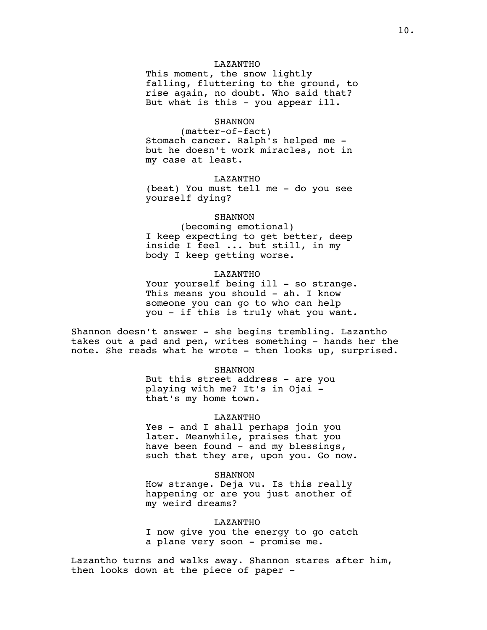# LAZANTHO

This moment, the snow lightly falling, fluttering to the ground, to rise again, no doubt. Who said that? But what is this - you appear ill.

# **SHANNON**

(matter-of-fact) Stomach cancer. Ralph's helped me but he doesn't work miracles, not in my case at least.

#### LAZANTHO

(beat) You must tell me - do you see yourself dying?

#### SHANNON

(becoming emotional) I keep expecting to get better, deep inside I feel ... but still, in my body I keep getting worse.

# LAZANTHO

Your yourself being ill - so strange. This means you should - ah. I know someone you can go to who can help you - if this is truly what you want.

Shannon doesn't answer - she begins trembling. Lazantho takes out a pad and pen, writes something - hands her the note. She reads what he wrote - then looks up, surprised.

#### SHANNON

But this street address - are you playing with me? It's in Ojai that's my home town.

#### LAZANTHO

Yes - and I shall perhaps join you later. Meanwhile, praises that you have been found - and my blessings, such that they are, upon you. Go now.

#### **SHANNON**

How strange. Deja vu. Is this really happening or are you just another of my weird dreams?

#### LAZANTHO

I now give you the energy to go catch a plane very soon - promise me.

Lazantho turns and walks away. Shannon stares after him, then looks down at the piece of paper -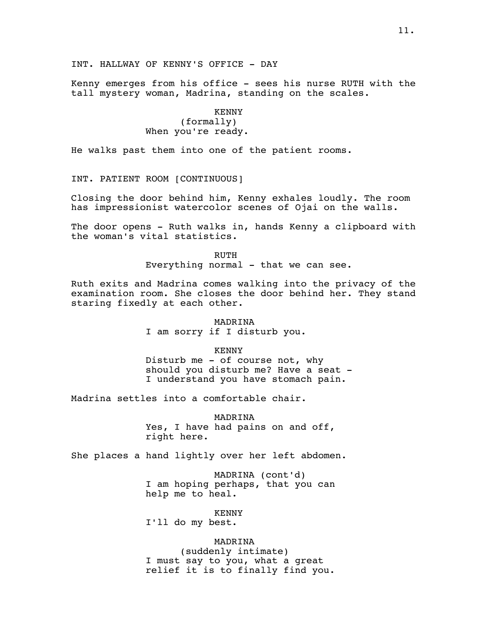INT. HALLWAY OF KENNY'S OFFICE - DAY

Kenny emerges from his office - sees his nurse RUTH with the tall mystery woman, Madrina, standing on the scales.

> KENNY (formally) When you're ready.

He walks past them into one of the patient rooms.

INT. PATIENT ROOM [CONTINUOUS]

Closing the door behind him, Kenny exhales loudly. The room has impressionist watercolor scenes of Ojai on the walls.

The door opens - Ruth walks in, hands Kenny a clipboard with the woman's vital statistics.

> RUTH Everything normal - that we can see.

Ruth exits and Madrina comes walking into the privacy of the examination room. She closes the door behind her. They stand staring fixedly at each other.

> MADRINA I am sorry if I disturb you.

> > KENNY

Disturb me - of course not, why should you disturb me? Have a seat -I understand you have stomach pain.

Madrina settles into a comfortable chair.

MADRINA Yes, I have had pains on and off, right here.

She places a hand lightly over her left abdomen.

MADRINA (cont'd) I am hoping perhaps, that you can help me to heal.

KENNY I'll do my best.

MADRINA (suddenly intimate) I must say to you, what a great relief it is to finally find you.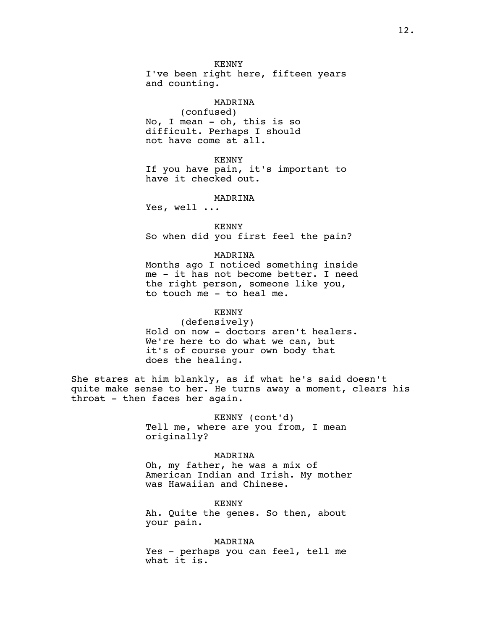KENNY I've been right here, fifteen years and counting.

#### MADRINA

(confused) No, I mean - oh, this is so difficult. Perhaps I should not have come at all.

KENNY If you have pain, it's important to have it checked out.

#### MADRINA

Yes, well ...

KENNY So when did you first feel the pain?

#### MADRINA

Months ago I noticed something inside me - it has not become better. I need the right person, someone like you, to touch me - to heal me.

#### KENNY

(defensively) Hold on now - doctors aren't healers. We're here to do what we can, but it's of course your own body that does the healing.

She stares at him blankly, as if what he's said doesn't quite make sense to her. He turns away a moment, clears his throat - then faces her again.

> KENNY (cont'd) Tell me, where are you from, I mean originally?

#### MADRINA

Oh, my father, he was a mix of American Indian and Irish. My mother was Hawaiian and Chinese.

KENNY Ah. Quite the genes. So then, about your pain.

MADRINA Yes - perhaps you can feel, tell me what it is.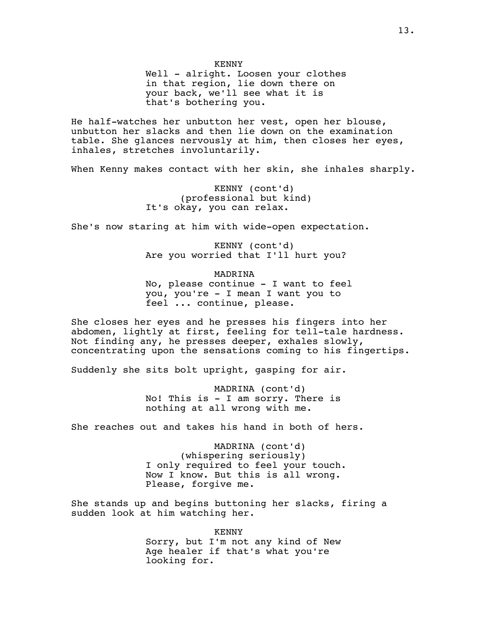KENNY

Well - alright. Loosen your clothes in that region, lie down there on your back, we'll see what it is that's bothering you.

He half-watches her unbutton her vest, open her blouse, unbutton her slacks and then lie down on the examination table. She glances nervously at him, then closes her eyes, inhales, stretches involuntarily.

When Kenny makes contact with her skin, she inhales sharply.

KENNY (cont'd) (professional but kind) It's okay, you can relax.

She's now staring at him with wide-open expectation.

KENNY (cont'd) Are you worried that I'll hurt you?

MADRINA

No, please continue - I want to feel you, you're - I mean I want you to feel ... continue, please.

She closes her eyes and he presses his fingers into her abdomen, lightly at first, feeling for tell-tale hardness. Not finding any, he presses deeper, exhales slowly, concentrating upon the sensations coming to his fingertips.

Suddenly she sits bolt upright, gasping for air.

MADRINA (cont'd) No! This is - I am sorry. There is nothing at all wrong with me.

She reaches out and takes his hand in both of hers.

MADRINA (cont'd) (whispering seriously) I only required to feel your touch. Now I know. But this is all wrong. Please, forgive me.

She stands up and begins buttoning her slacks, firing a sudden look at him watching her.

> KENNY Sorry, but I'm not any kind of New Age healer if that's what you're looking for.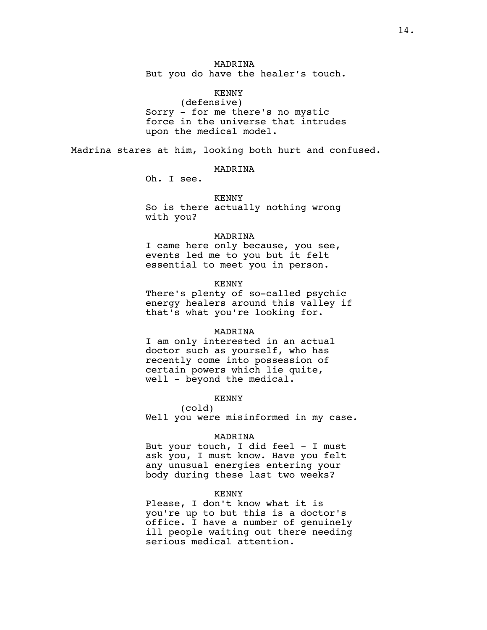# MADRINA

But you do have the healer's touch.

# KENNY

(defensive) Sorry - for me there's no mystic force in the universe that intrudes upon the medical model.

Madrina stares at him, looking both hurt and confused.

# MADRINA

Oh. I see.

KENNY

So is there actually nothing wrong with you?

#### MADRINA

I came here only because, you see, events led me to you but it felt essential to meet you in person.

#### KENNY

There's plenty of so-called psychic energy healers around this valley if that's what you're looking for.

#### MADRINA

I am only interested in an actual doctor such as yourself, who has recently come into possession of certain powers which lie quite, well - beyond the medical.

# KENNY

(cold) Well you were misinformed in my case.

#### MADRINA

But your touch, I did feel - I must ask you, I must know. Have you felt any unusual energies entering your body during these last two weeks?

### KENNY

Please, I don't know what it is you're up to but this is a doctor's office. I have a number of genuinely ill people waiting out there needing serious medical attention.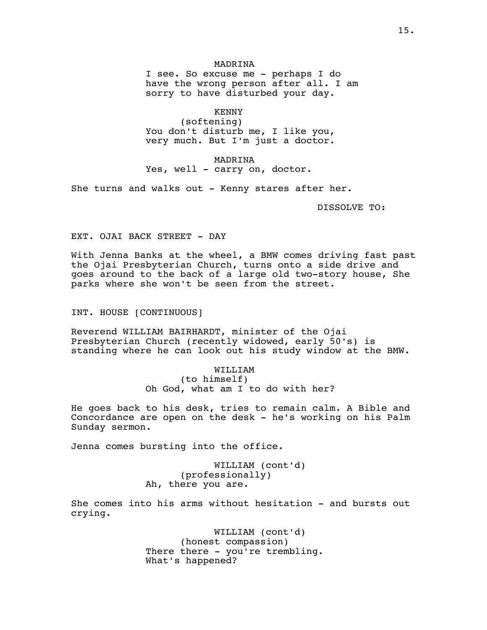# MADRINA

I see. So excuse me - perhaps I do have the wrong person after all. I am sorry to have disturbed your day.

KENNY

(softening) You don't disturb me, I like you, very much. But I'm just a doctor.

MADRINA Yes, well - carry on, doctor.

She turns and walks out - Kenny stares after her.

DISSOLVE TO:

# EXT. OJAI BACK STREET - DAY

With Jenna Banks at the wheel, a BMW comes driving fast past the Ojai Presbyterian Church, turns onto a side drive and goes around to the back of a large old two-story house, She parks where she won't be seen from the street.

INT. HOUSE [CONTINUOUS]

Reverend WILLIAM BAIRHARDT, minister of the Ojai Presbyterian Church (recently widowed, early 50's) is standing where he can look out his study window at the BMW.

> WILLIAM (to himself) Oh God, what am I to do with her?

He goes back to his desk, tries to remain calm. A Bible and Concordance are open on the desk - he's working on his Palm Sunday sermon.

Jenna comes bursting into the office.

WILLIAM (cont'd) (professionally) Ah, there you are.

She comes into his arms without hesitation - and bursts out crying.

> WILLIAM (cont'd) (honest compassion) There there - you're trembling. What's happened?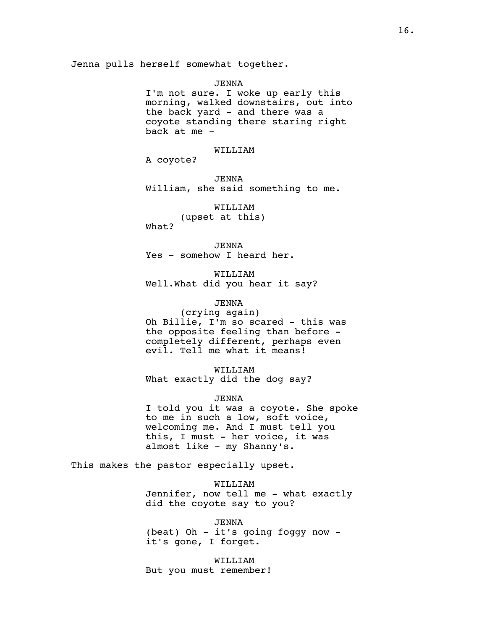JENNA

I'm not sure. I woke up early this morning, walked downstairs, out into the back yard - and there was a coyote standing there staring right back at me -

# WILLIAM

A coyote?

JENNA William, she said something to me.

WILLIAM (upset at this) What?

JENNA Yes - somehow I heard her.

WILLIAM Well.What did you hear it say?

# JENNA

(crying again) Oh Billie, I'm so scared - this was the opposite feeling than before completely different, perhaps even evil. Tell me what it means!

WILLIAM What exactly did the dog say?

JENNA

I told you it was a coyote. She spoke to me in such a low, soft voice, welcoming me. And I must tell you this, I must - her voice, it was almost like - my Shanny's.

This makes the pastor especially upset.

WILLIAM Jennifer, now tell me - what exactly did the coyote say to you?

JENNA (beat) Oh - it's going foggy now it's gone, I forget.

WILLIAM But you must remember!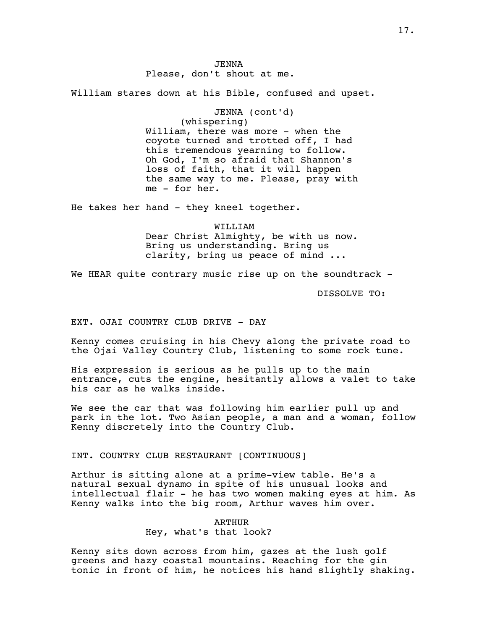JENNA Please, don't shout at me.

William stares down at his Bible, confused and upset.

JENNA (cont'd) (whispering) William, there was more - when the coyote turned and trotted off, I had this tremendous yearning to follow. Oh God, I'm so afraid that Shannon's loss of faith, that it will happen the same way to me. Please, pray with me - for her.

He takes her hand - they kneel together.

WILLIAM Dear Christ Almighty, be with us now. Bring us understanding. Bring us clarity, bring us peace of mind ...

We HEAR quite contrary music rise up on the soundtrack -

DISSOLVE TO:

EXT. OJAI COUNTRY CLUB DRIVE - DAY

Kenny comes cruising in his Chevy along the private road to the Ojai Valley Country Club, listening to some rock tune.

His expression is serious as he pulls up to the main entrance, cuts the engine, hesitantly allows a valet to take his car as he walks inside.

We see the car that was following him earlier pull up and park in the lot. Two Asian people, a man and a woman, follow Kenny discretely into the Country Club.

INT. COUNTRY CLUB RESTAURANT [CONTINUOUS]

Arthur is sitting alone at a prime-view table. He's a natural sexual dynamo in spite of his unusual looks and intellectual flair - he has two women making eyes at him. As Kenny walks into the big room, Arthur waves him over.

> ARTHUR Hey, what's that look?

Kenny sits down across from him, gazes at the lush golf greens and hazy coastal mountains. Reaching for the gin tonic in front of him, he notices his hand slightly shaking.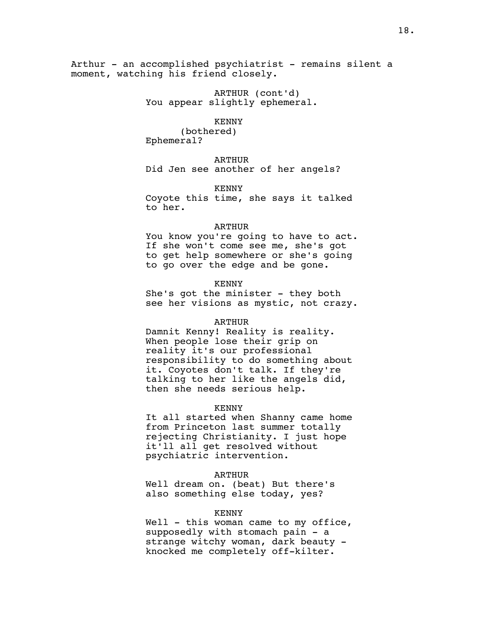Arthur - an accomplished psychiatrist - remains silent a moment, watching his friend closely.

> ARTHUR (cont'd) You appear slightly ephemeral.

> > KENNY

(bothered) Ephemeral?

ARTHUR Did Jen see another of her angels?

KENNY

Coyote this time, she says it talked to her.

#### ARTHUR

You know you're going to have to act. If she won't come see me, she's got to get help somewhere or she's going to go over the edge and be gone.

#### KENNY

She's got the minister - they both see her visions as mystic, not crazy.

#### ARTHUR

Damnit Kenny! Reality is reality. When people lose their grip on reality it's our professional responsibility to do something about it. Coyotes don't talk. If they're talking to her like the angels did, then she needs serious help.

#### KENNY

It all started when Shanny came home from Princeton last summer totally rejecting Christianity. I just hope it'll all get resolved without psychiatric intervention.

#### ARTHUR

Well dream on. (beat) But there's also something else today, yes?

#### KENNY

Well  $-$  this woman came to my office, supposedly with stomach pain - a strange witchy woman, dark beauty knocked me completely off-kilter.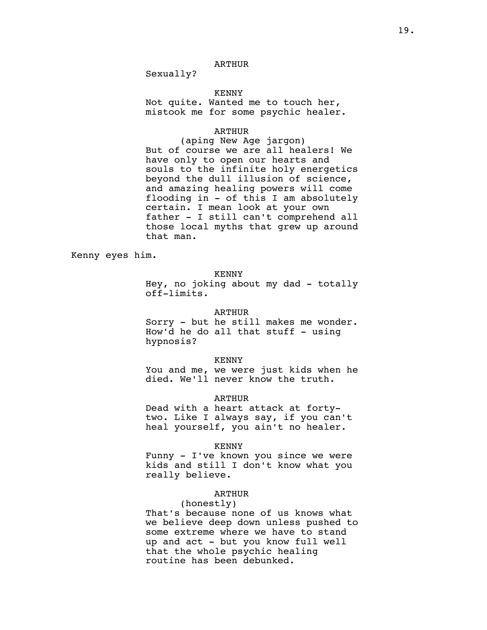Sexually?

# KENNY

Not quite. Wanted me to touch her, mistook me for some psychic healer.

# ARTHUR

(aping New Age jargon) But of course we are all healers! We have only to open our hearts and souls to the infinite holy energetics beyond the dull illusion of science, and amazing healing powers will come flooding in - of this I am absolutely certain. I mean look at your own father - I still can't comprehend all those local myths that grew up around that man.

Kenny eyes him.

KENNY

Hey, no joking about my dad - totally off-limits.

#### ARTHUR

Sorry - but he still makes me wonder. How'd he do all that stuff  $-$  using hypnosis?

#### KENNY

You and me, we were just kids when he died. We'll never know the truth.

# ARTHUR

Dead with a heart attack at fortytwo. Like I always say, if you can't heal yourself, you ain't no healer.

#### KENNY

Funny - I've known you since we were kids and still I don't know what you really believe.

# ARTHUR

#### (honestly)

That's because none of us knows what we believe deep down unless pushed to some extreme where we have to stand up and act - but you know full well that the whole psychic healing routine has been debunked.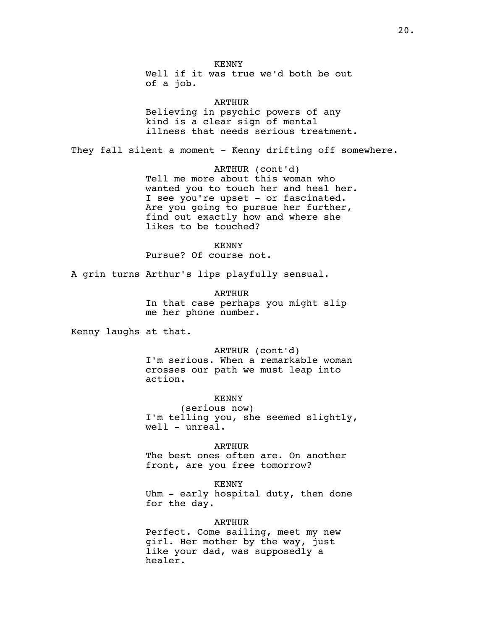KENNY

Well if it was true we'd both be out of a job.

ARTHUR

Believing in psychic powers of any kind is a clear sign of mental illness that needs serious treatment.

They fall silent a moment - Kenny drifting off somewhere.

ARTHUR (cont'd) Tell me more about this woman who wanted you to touch her and heal her. I see you're upset - or fascinated. Are you going to pursue her further, find out exactly how and where she likes to be touched?

KENNY

Pursue? Of course not.

A grin turns Arthur's lips playfully sensual.

ARTHUR In that case perhaps you might slip me her phone number.

Kenny laughs at that.

ARTHUR (cont'd) I'm serious. When a remarkable woman crosses our path we must leap into action.

KENNY (serious now) I'm telling you, she seemed slightly, well - unreal.

ARTHUR The best ones often are. On another front, are you free tomorrow?

KENNY Uhm - early hospital duty, then done for the day.

ARTHUR Perfect. Come sailing, meet my new girl. Her mother by the way, just like your dad, was supposedly a healer.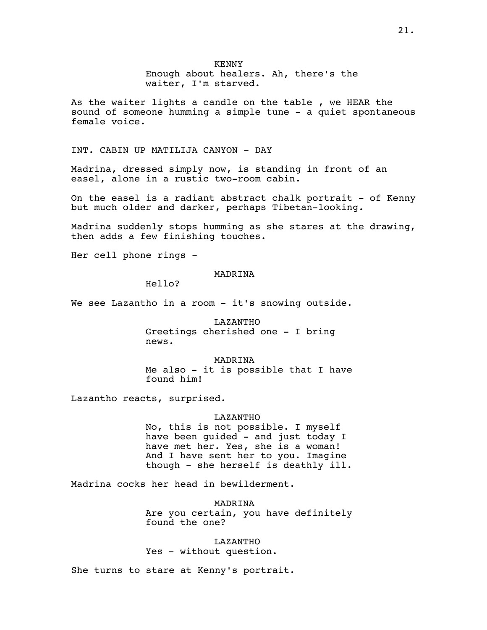KENNY Enough about healers. Ah, there's the waiter, I'm starved.

As the waiter lights a candle on the table , we HEAR the sound of someone humming a simple tune - a quiet spontaneous female voice.

# INT. CABIN UP MATILIJA CANYON - DAY

Madrina, dressed simply now, is standing in front of an easel, alone in a rustic two-room cabin.

On the easel is a radiant abstract chalk portrait - of Kenny but much older and darker, perhaps Tibetan-looking.

Madrina suddenly stops humming as she stares at the drawing, then adds a few finishing touches.

Her cell phone rings -

# MADRINA

Hello?

We see Lazantho in a room - it's snowing outside.

LAZANTHO Greetings cherished one - I bring news.

MADRINA Me also - it is possible that I have found him!

Lazantho reacts, surprised.

#### LAZANTHO

No, this is not possible. I myself have been guided - and just today I have met her. Yes, she is a woman! And I have sent her to you. Imagine though - she herself is deathly ill.

Madrina cocks her head in bewilderment.

MADRINA Are you certain, you have definitely found the one?

#### LAZANTHO

Yes - without question.

She turns to stare at Kenny's portrait.